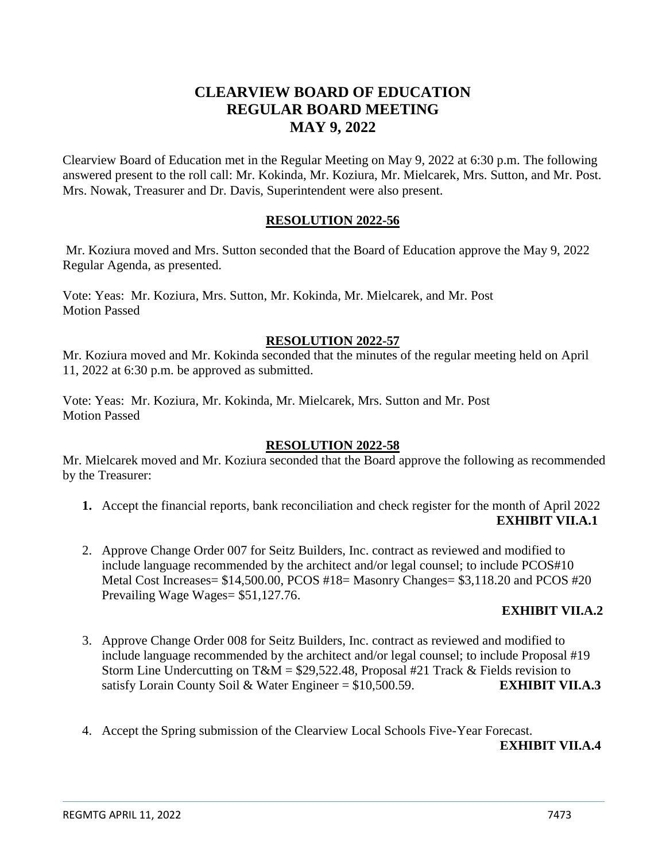# **CLEARVIEW BOARD OF EDUCATION REGULAR BOARD MEETING MAY 9, 2022**

Clearview Board of Education met in the Regular Meeting on May 9, 2022 at 6:30 p.m. The following answered present to the roll call: Mr. Kokinda, Mr. Koziura, Mr. Mielcarek, Mrs. Sutton, and Mr. Post. Mrs. Nowak, Treasurer and Dr. Davis, Superintendent were also present.

## **RESOLUTION 2022-56**

Mr. Koziura moved and Mrs. Sutton seconded that the Board of Education approve the May 9, 2022 Regular Agenda, as presented.

Vote: Yeas: Mr. Koziura, Mrs. Sutton, Mr. Kokinda, Mr. Mielcarek, and Mr. Post Motion Passed

## **RESOLUTION 2022-57**

Mr. Koziura moved and Mr. Kokinda seconded that the minutes of the regular meeting held on April 11, 2022 at 6:30 p.m. be approved as submitted.

Vote: Yeas: Mr. Koziura, Mr. Kokinda, Mr. Mielcarek, Mrs. Sutton and Mr. Post Motion Passed

#### **RESOLUTION 2022-58**

Mr. Mielcarek moved and Mr. Koziura seconded that the Board approve the following as recommended by the Treasurer:

- **1.** Accept the financial reports, bank reconciliation and check register for the month of April 2022 **EXHIBIT VII.A.1**
- 2. Approve Change Order 007 for Seitz Builders, Inc. contract as reviewed and modified to include language recommended by the architect and/or legal counsel; to include PCOS#10 Metal Cost Increases= \$14,500.00, PCOS #18= Masonry Changes= \$3,118.20 and PCOS #20 Prevailing Wage Wages= \$51,127.76.

# **EXHIBIT VII.A.2**

- 3. Approve Change Order 008 for Seitz Builders, Inc. contract as reviewed and modified to include language recommended by the architect and/or legal counsel; to include Proposal #19 Storm Line Undercutting on T&M =  $$29,522.48$ , Proposal #21 Track & Fields revision to satisfy Lorain County Soil & Water Engineer = \$10,500.59. **EXHIBIT VII.A.3**
- 4. Accept the Spring submission of the Clearview Local Schools Five-Year Forecast.

#### **EXHIBIT VII.A.4**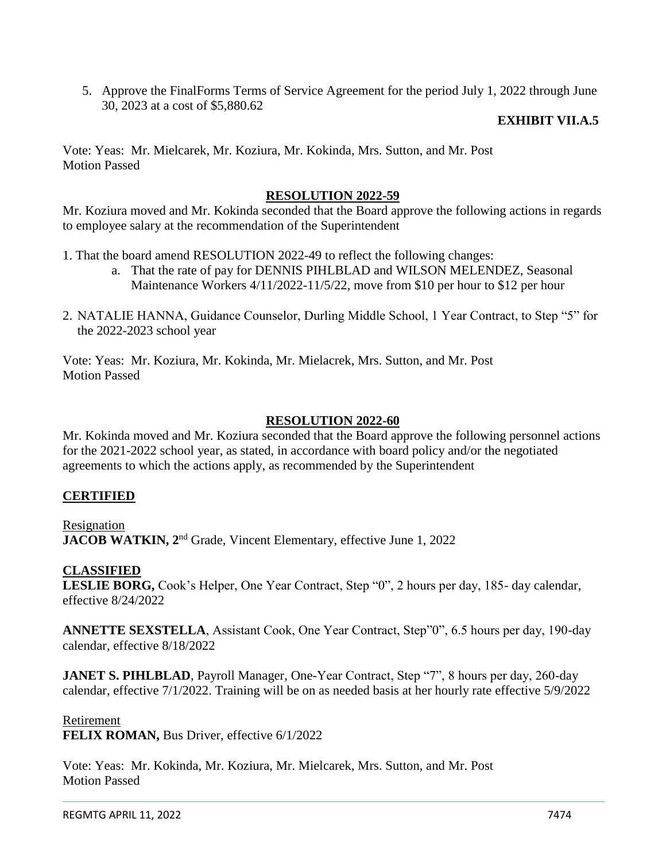5. Approve the FinalForms Terms of Service Agreement for the period July 1, 2022 through June 30, 2023 at a cost of \$5,880.62

#### **EXHIBIT VII.A.5**

Vote: Yeas: Mr. Mielcarek, Mr. Koziura, Mr. Kokinda, Mrs. Sutton, and Mr. Post Motion Passed

#### **RESOLUTION 2022-59**

Mr. Koziura moved and Mr. Kokinda seconded that the Board approve the following actions in regards to employee salary at the recommendation of the Superintendent

- 1. That the board amend RESOLUTION 2022-49 to reflect the following changes:
	- a. That the rate of pay for DENNIS PIHLBLAD and WILSON MELENDEZ, Seasonal Maintenance Workers 4/11/2022-11/5/22, move from \$10 per hour to \$12 per hour
- 2. NATALIE HANNA, Guidance Counselor, Durling Middle School, 1 Year Contract, to Step "5" for the 2022-2023 school year

Vote: Yeas: Mr. Koziura, Mr. Kokinda, Mr. Mielacrek, Mrs. Sutton, and Mr. Post Motion Passed

#### **RESOLUTION 2022-60**

Mr. Kokinda moved and Mr. Koziura seconded that the Board approve the following personnel actions for the 2021-2022 school year, as stated, in accordance with board policy and/or the negotiated agreements to which the actions apply, as recommended by the Superintendent

#### **CERTIFIED**

Resignation **JACOB WATKIN, 2<sup>nd</sup> Grade, Vincent Elementary, effective June 1, 2022** 

#### **CLASSIFIED**

**LESLIE BORG,** Cook's Helper, One Year Contract, Step "0", 2 hours per day, 185- day calendar, effective 8/24/2022

**ANNETTE SEXSTELLA**, Assistant Cook, One Year Contract, Step"0", 6.5 hours per day, 190-day calendar, effective 8/18/2022

**JANET S. PIHLBLAD**, Payroll Manager, One-Year Contract, Step "7", 8 hours per day, 260-day calendar, effective 7/1/2022. Training will be on as needed basis at her hourly rate effective 5/9/2022

#### Retirement

**FELIX ROMAN,** Bus Driver, effective 6/1/2022

Vote: Yeas: Mr. Kokinda, Mr. Koziura, Mr. Mielcarek, Mrs. Sutton, and Mr. Post Motion Passed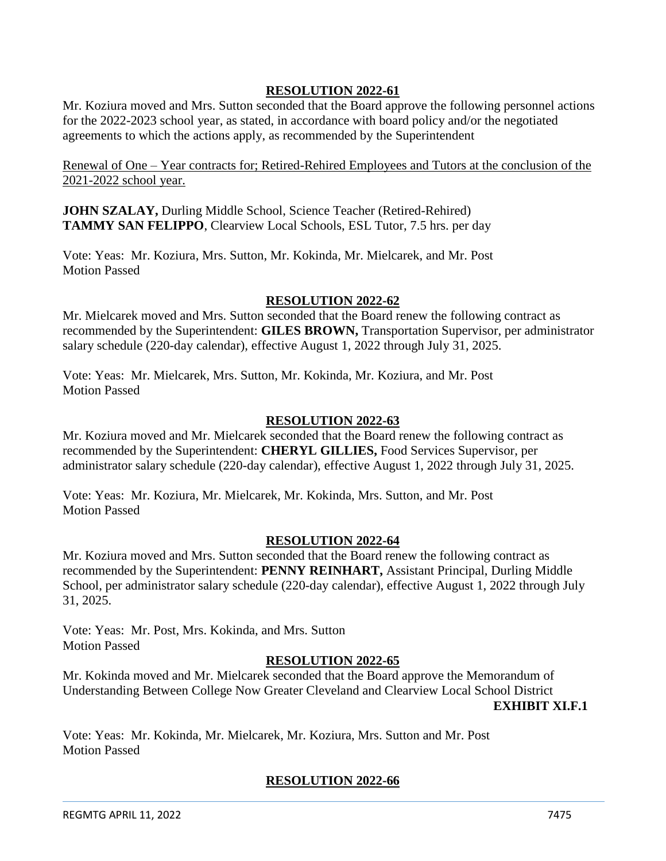## **RESOLUTION 2022-61**

Mr. Koziura moved and Mrs. Sutton seconded that the Board approve the following personnel actions for the 2022-2023 school year, as stated, in accordance with board policy and/or the negotiated agreements to which the actions apply, as recommended by the Superintendent

Renewal of One – Year contracts for; Retired-Rehired Employees and Tutors at the conclusion of the 2021-2022 school year.

**JOHN SZALAY,** Durling Middle School, Science Teacher (Retired-Rehired) **TAMMY SAN FELIPPO**, Clearview Local Schools, ESL Tutor, 7.5 hrs. per day

Vote: Yeas: Mr. Koziura, Mrs. Sutton, Mr. Kokinda, Mr. Mielcarek, and Mr. Post Motion Passed

#### **RESOLUTION 2022-62**

Mr. Mielcarek moved and Mrs. Sutton seconded that the Board renew the following contract as recommended by the Superintendent: **GILES BROWN,** Transportation Supervisor, per administrator salary schedule (220-day calendar), effective August 1, 2022 through July 31, 2025.

Vote: Yeas: Mr. Mielcarek, Mrs. Sutton, Mr. Kokinda, Mr. Koziura, and Mr. Post Motion Passed

#### **RESOLUTION 2022-63**

Mr. Koziura moved and Mr. Mielcarek seconded that the Board renew the following contract as recommended by the Superintendent: **CHERYL GILLIES,** Food Services Supervisor, per administrator salary schedule (220-day calendar), effective August 1, 2022 through July 31, 2025.

Vote: Yeas: Mr. Koziura, Mr. Mielcarek, Mr. Kokinda, Mrs. Sutton, and Mr. Post Motion Passed

#### **RESOLUTION 2022-64**

Mr. Koziura moved and Mrs. Sutton seconded that the Board renew the following contract as recommended by the Superintendent: **PENNY REINHART,** Assistant Principal, Durling Middle School, per administrator salary schedule (220-day calendar), effective August 1, 2022 through July 31, 2025.

Vote: Yeas: Mr. Post, Mrs. Kokinda, and Mrs. Sutton Motion Passed

#### **RESOLUTION 2022-65**

Mr. Kokinda moved and Mr. Mielcarek seconded that the Board approve the Memorandum of Understanding Between College Now Greater Cleveland and Clearview Local School District

**EXHIBIT XI.F.1**

Vote: Yeas: Mr. Kokinda, Mr. Mielcarek, Mr. Koziura, Mrs. Sutton and Mr. Post Motion Passed

#### **RESOLUTION 2022-66**